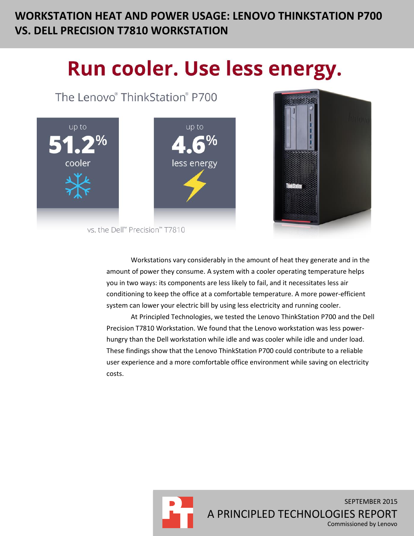# **WORKSTATION HEAT AND POWER USAGE: LENOVO THINKSTATION P700 VS. DELL PRECISION T7810 WORKSTATION**

# Run cooler. Use less energy.

The Lenovo® ThinkStation® P700





vs. the Dell™ Precision™ T7810

Workstations vary considerably in the amount of heat they generate and in the amount of power they consume. A system with a cooler operating temperature helps you in two ways: its components are less likely to fail, and it necessitates less air conditioning to keep the office at a comfortable temperature. A more power-efficient system can lower your electric bill by using less electricity and running cooler.

At Principled Technologies, we tested the Lenovo ThinkStation P700 and the Dell Precision T7810 Workstation. We found that the Lenovo workstation was less powerhungry than the Dell workstation while idle and was cooler while idle and under load. These findings show that the Lenovo ThinkStation P700 could contribute to a reliable user experience and a more comfortable office environment while saving on electricity costs.



SEPTEMBER 2015 A PRINCIPLED TECHNOLOGIES REPORT Commissioned by Lenovo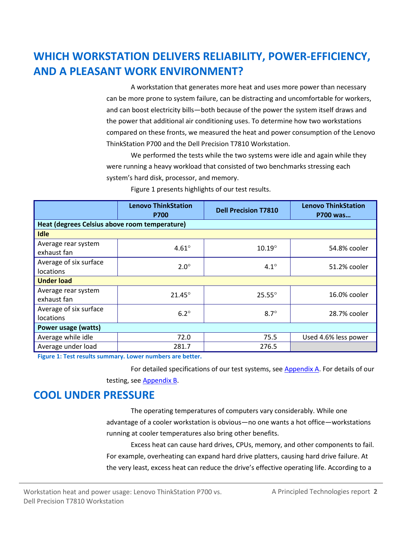# **WHICH WORKSTATION DELIVERS RELIABILITY, POWER-EFFICIENCY, AND A PLEASANT WORK ENVIRONMENT?**

A workstation that generates more heat and uses more power than necessary can be more prone to system failure, can be distracting and uncomfortable for workers, and can boost electricity bills—both because of the power the system itself draws and the power that additional air conditioning uses. To determine how two workstations compared on these fronts, we measured the heat and power consumption of the Lenovo ThinkStation P700 and the Dell Precision T7810 Workstation.

We performed the tests while the two systems were idle and again while they were running a heavy workload that consisted of two benchmarks stressing each system's hard disk, processor, and memory.

|                                               | <b>Lenovo ThinkStation</b><br><b>P700</b> | <b>Dell Precision T7810</b> | <b>Lenovo ThinkStation</b><br>P700 was |  |  |
|-----------------------------------------------|-------------------------------------------|-----------------------------|----------------------------------------|--|--|
| Heat (degrees Celsius above room temperature) |                                           |                             |                                        |  |  |
| <b>Idle</b>                                   |                                           |                             |                                        |  |  |
| Average rear system<br>exhaust fan            | $4.61^\circ$                              | $10.19^\circ$               | 54.8% cooler                           |  |  |
| Average of six surface<br>locations           | $2.0^\circ$                               | $4.1^\circ$                 | 51.2% cooler                           |  |  |
| <b>Under load</b>                             |                                           |                             |                                        |  |  |
| Average rear system<br>exhaust fan            | $21.45^\circ$                             | $25.55^\circ$               | 16.0% cooler                           |  |  |
| Average of six surface<br>locations           | $6.2^\circ$                               | $8.7^\circ$                 | 28.7% cooler                           |  |  |
| Power usage (watts)                           |                                           |                             |                                        |  |  |
| Average while idle                            | 72.0                                      | 75.5                        | Used 4.6% less power                   |  |  |
| Average under load                            | 281.7                                     | 276.5                       |                                        |  |  |

Figure 1 presents highlights of our test results.

**Figure 1: Test results summary. Lower numbers are better.**

For detailed specifications of our test systems, see [Appendix A.](#page-4-0) For details of our testing, see [Appendix B.](#page-7-0)

### **COOL UNDER PRESSURE**

The operating temperatures of computers vary considerably. While one advantage of a cooler workstation is obvious—no one wants a hot office—workstations running at cooler temperatures also bring other benefits.

Excess heat can cause hard drives, CPUs, memory, and other components to fail. For example, overheating can expand hard drive platters, causing hard drive failure. At the very least, excess heat can reduce the drive's effective operating life. According to a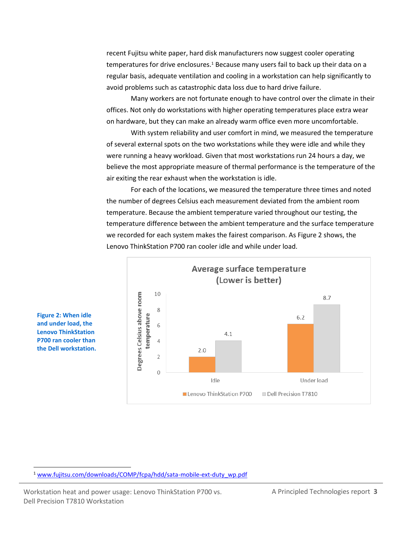recent Fujitsu white paper, hard disk manufacturers now suggest cooler operating temperatures for drive enclosures.<sup>1</sup> Because many users fail to back up their data on a regular basis, adequate ventilation and cooling in a workstation can help significantly to avoid problems such as catastrophic data loss due to hard drive failure.

Many workers are not fortunate enough to have control over the climate in their offices. Not only do workstations with higher operating temperatures place extra wear on hardware, but they can make an already warm office even more uncomfortable.

With system reliability and user comfort in mind, we measured the temperature of several external spots on the two workstations while they were idle and while they were running a heavy workload. Given that most workstations run 24 hours a day, we believe the most appropriate measure of thermal performance is the temperature of the air exiting the rear exhaust when the workstation is idle.

For each of the locations, we measured the temperature three times and noted the number of degrees Celsius each measurement deviated from the ambient room temperature. Because the ambient temperature varied throughout our testing, the temperature difference between the ambient temperature and the surface temperature we recorded for each system makes the fairest comparison. As Figure 2 shows, the Lenovo ThinkStation P700 ran cooler idle and while under load.



**Figure 2: When idle and under load, the Lenovo ThinkStation P700 ran cooler than the Dell workstation.**

 $\overline{a}$ 

Workstation heat and power usage: Lenovo ThinkStation P700 vs. A Principled Technologies report 3 Dell Precision T7810 Workstation

<sup>&</sup>lt;sup>1</sup> [www.fujitsu.com/downloads/COMP/fcpa/hdd/sata-mobile-ext-duty\\_wp.pdf](http://www.fujitsu.com/downloads/COMP/fcpa/hdd/sata-mobile-ext-duty_wp.pdf)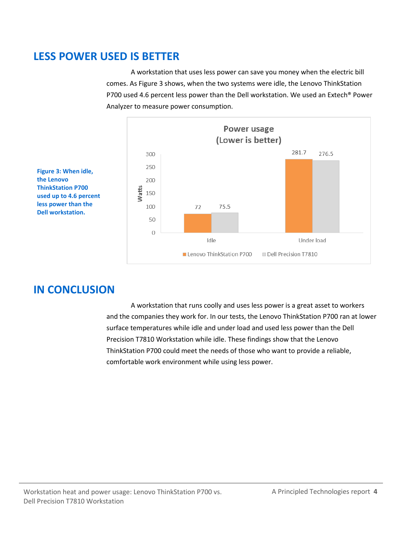### **LESS POWER USED IS BETTER**

A workstation that uses less power can save you money when the electric bill comes. As Figure 3 shows, when the two systems were idle, the Lenovo ThinkStation P700 used 4.6 percent less power than the Dell workstation. We used an Extech® Power Analyzer to measure power consumption.



**Figure 3: When idle, the Lenovo ThinkStation P700 used up to 4.6 percent less power than the Dell workstation.**

### **IN CONCLUSION**

A workstation that runs coolly and uses less power is a great asset to workers and the companies they work for. In our tests, the Lenovo ThinkStation P700 ran at lower surface temperatures while idle and under load and used less power than the Dell Precision T7810 Workstation while idle. These findings show that the Lenovo ThinkStation P700 could meet the needs of those who want to provide a reliable, comfortable work environment while using less power.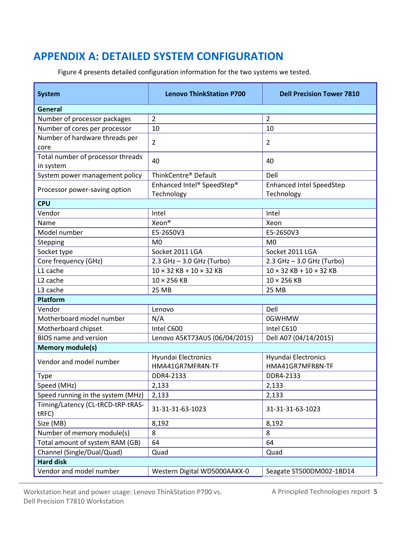### <span id="page-4-0"></span>**APPENDIX A: DETAILED SYSTEM CONFIGURATION**

Figure 4 presents detailed configuration information for the two systems we tested.

| <b>System</b>                                  | <b>Lenovo ThinkStation P700</b>          | <b>Dell Precision Tower 7810</b>              |  |  |  |
|------------------------------------------------|------------------------------------------|-----------------------------------------------|--|--|--|
| General                                        |                                          |                                               |  |  |  |
| Number of processor packages                   | $\overline{2}$                           | $\overline{2}$                                |  |  |  |
| Number of cores per processor                  | 10                                       | 10                                            |  |  |  |
| Number of hardware threads per<br>core         | $\overline{2}$                           | $\overline{2}$                                |  |  |  |
| Total number of processor threads<br>in system | 40                                       | 40                                            |  |  |  |
| System power management policy                 | ThinkCentre <sup>®</sup> Default         | Dell                                          |  |  |  |
| Processor power-saving option                  | Enhanced Intel® SpeedStep®<br>Technology | <b>Enhanced Intel SpeedStep</b><br>Technology |  |  |  |
| <b>CPU</b>                                     |                                          |                                               |  |  |  |
| Vendor                                         | Intel                                    | Intel                                         |  |  |  |
| Name                                           | Xeon <sup>®</sup>                        | Xeon                                          |  |  |  |
| Model number                                   | E5-2650V3                                | E5-2650V3                                     |  |  |  |
| Stepping                                       | M <sub>0</sub>                           | M <sub>0</sub>                                |  |  |  |
| Socket type                                    | Socket 2011 LGA                          | Socket 2011 LGA                               |  |  |  |
| Core frequency (GHz)                           | 2.3 GHz - 3.0 GHz (Turbo)                | 2.3 GHz - 3.0 GHz (Turbo)                     |  |  |  |
| L1 cache                                       | $10 \times 32$ KB + $10 \times 32$ KB    | $10 \times 32$ KB + $10 \times 32$ KB         |  |  |  |
| L <sub>2</sub> cache                           | $10 \times 256$ KB                       | $10 \times 256$ KB                            |  |  |  |
| L3 cache                                       | 25 MB                                    | 25 MB                                         |  |  |  |
| <b>Platform</b>                                |                                          |                                               |  |  |  |
| Vendor                                         | Lenovo                                   | Dell                                          |  |  |  |
| Motherboard model number                       | N/A                                      | 0GWHMW                                        |  |  |  |
| Motherboard chipset                            | Intel C600                               | Intel C610                                    |  |  |  |
| <b>BIOS</b> name and version                   | Lenovo A5KT73AUS (06/04/2015)            | Dell A07 (04/14/2015)                         |  |  |  |
| <b>Memory module(s)</b>                        |                                          |                                               |  |  |  |
| Vendor and model number                        | Hyundai Electronics<br>HMA41GR7MFR4N-TF  | Hyundai Electronics<br>HMA41GR7MFR8N-TF       |  |  |  |
| Type                                           | DDR4-2133                                | DDR4-2133                                     |  |  |  |
| Speed (MHz)                                    | 2,133                                    | 2,133                                         |  |  |  |
| Speed running in the system (MHz)              | 2,133                                    | 2,133                                         |  |  |  |
| Timing/Latency (CL-tRCD-tRP-tRAS-<br>tRFC)     | 31-31-31-63-1023                         | 31-31-31-63-1023                              |  |  |  |
| Size (MB)                                      | 8,192                                    | 8,192                                         |  |  |  |
| Number of memory module(s)                     | 8                                        | 8                                             |  |  |  |
| Total amount of system RAM (GB)                | 64                                       | 64                                            |  |  |  |
| Channel (Single/Dual/Quad)                     | Quad                                     | Quad                                          |  |  |  |
| <b>Hard disk</b>                               |                                          |                                               |  |  |  |
| Vendor and model number                        | Western Digital WD5000AAKX-0             | Seagate ST500DM002-1BD14                      |  |  |  |

Workstation heat and power usage: Lenovo ThinkStation P700 vs. A Principled Technologies report 5 Dell Precision T7810 Workstation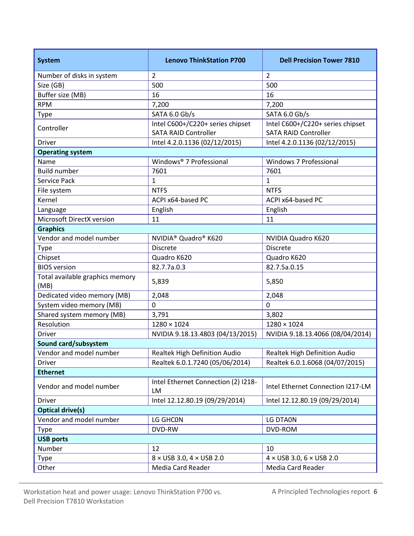| <b>System</b>                           | <b>Lenovo ThinkStation P700</b>                                 | <b>Dell Precision Tower 7810</b>                                |
|-----------------------------------------|-----------------------------------------------------------------|-----------------------------------------------------------------|
| Number of disks in system               | $\overline{2}$                                                  | $\overline{2}$                                                  |
| Size (GB)                               | 500                                                             | 500                                                             |
| Buffer size (MB)                        | 16                                                              | 16                                                              |
| <b>RPM</b>                              | 7,200                                                           | 7,200                                                           |
| <b>Type</b>                             | SATA 6.0 Gb/s                                                   | SATA 6.0 Gb/s                                                   |
| Controller                              | Intel C600+/C220+ series chipset<br><b>SATA RAID Controller</b> | Intel C600+/C220+ series chipset<br><b>SATA RAID Controller</b> |
| Driver                                  | Intel 4.2.0.1136 (02/12/2015)                                   | Intel 4.2.0.1136 (02/12/2015)                                   |
| <b>Operating system</b>                 |                                                                 |                                                                 |
| Name                                    | Windows® 7 Professional                                         | Windows 7 Professional                                          |
| <b>Build number</b>                     | 7601                                                            | 7601                                                            |
| Service Pack                            | 1                                                               | $\mathbf 1$                                                     |
| File system                             | <b>NTFS</b>                                                     | <b>NTFS</b>                                                     |
| Kernel                                  | ACPI x64-based PC                                               | ACPI x64-based PC                                               |
| Language                                | English                                                         | English                                                         |
| Microsoft DirectX version               | 11                                                              | 11                                                              |
| <b>Graphics</b>                         |                                                                 |                                                                 |
| Vendor and model number                 | NVIDIA <sup>®</sup> Quadro® K620                                | NVIDIA Quadro K620                                              |
| <b>Type</b>                             | <b>Discrete</b>                                                 | <b>Discrete</b>                                                 |
| Chipset                                 | Quadro K620                                                     | Quadro K620                                                     |
| <b>BIOS</b> version                     | 82.7.7a.0.3                                                     | 82.7.5a.0.15                                                    |
| Total available graphics memory<br>(MB) | 5,839                                                           | 5,850                                                           |
| Dedicated video memory (MB)             | 2,048                                                           | 2,048                                                           |
| System video memory (MB)                | 0                                                               | $\mathbf 0$                                                     |
| Shared system memory (MB)               | 3,791                                                           | 3,802                                                           |
| Resolution                              | $1280 \times 1024$                                              | $1280 \times 1024$                                              |
| <b>Driver</b>                           | NVIDIA 9.18.13.4803 (04/13/2015)                                | NVIDIA 9.18.13.4066 (08/04/2014)                                |
| Sound card/subsystem                    |                                                                 |                                                                 |
| Vendor and model number                 | Realtek High Definition Audio                                   | Realtek High Definition Audio                                   |
| Driver                                  | Realtek 6.0.1.7240 (05/06/2014)                                 | Realtek 6.0.1.6068 (04/07/2015)                                 |
| <b>Ethernet</b>                         |                                                                 |                                                                 |
| Vendor and model number                 | Intel Ethernet Connection (2) I218-<br>LM                       | Intel Ethernet Connection I217-LM                               |
| Driver                                  | Intel 12.12.80.19 (09/29/2014)                                  | Intel 12.12.80.19 (09/29/2014)                                  |
| <b>Optical drive(s)</b>                 |                                                                 |                                                                 |
| Vendor and model number                 | LG GHCON                                                        | LG DTA0N                                                        |
| Type                                    | DVD-RW                                                          | DVD-ROM                                                         |
| <b>USB ports</b>                        |                                                                 |                                                                 |
| Number                                  | 12                                                              | 10                                                              |
| Type                                    | $8 \times$ USB 3.0, 4 $\times$ USB 2.0                          | $4 \times$ USB 3.0, 6 $\times$ USB 2.0                          |
| Other                                   | Media Card Reader                                               | Media Card Reader                                               |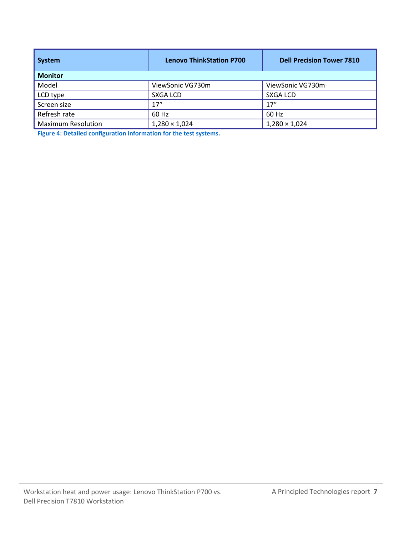| System                    | <b>Lenovo ThinkStation P700</b> | <b>Dell Precision Tower 7810</b> |  |  |
|---------------------------|---------------------------------|----------------------------------|--|--|
| <b>Monitor</b>            |                                 |                                  |  |  |
| Model                     | ViewSonic VG730m                | ViewSonic VG730m                 |  |  |
| LCD type                  | <b>SXGA LCD</b>                 | <b>SXGA LCD</b>                  |  |  |
| Screen size               | 17''                            | 17''                             |  |  |
| Refresh rate              | 60 Hz                           | 60 Hz                            |  |  |
| <b>Maximum Resolution</b> | $1,280 \times 1,024$            | $1,280 \times 1,024$             |  |  |

**Figure 4: Detailed configuration information for the test systems.**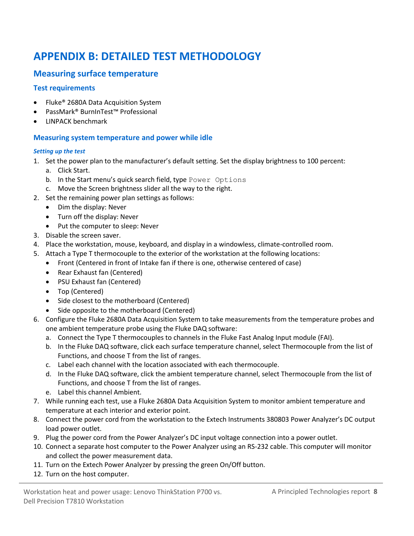# <span id="page-7-0"></span>**APPENDIX B: DETAILED TEST METHODOLOGY**

#### **Measuring surface temperature**

#### **Test requirements**

- Fluke<sup>®</sup> 2680A Data Acquisition System
- PassMark® BurnInTest™ Professional
- LINPACK benchmark

#### **Measuring system temperature and power while idle**

#### *Setting up the test*

- 1. Set the power plan to the manufacturer's default setting. Set the display brightness to 100 percent:
	- a. Click Start.
	- b. In the Start menu's quick search field, type Power Options
	- c. Move the Screen brightness slider all the way to the right.
- 2. Set the remaining power plan settings as follows:
	- Dim the display: Never
	- Turn off the display: Never
	- Put the computer to sleep: Never
- 3. Disable the screen saver.
- 4. Place the workstation, mouse, keyboard, and display in a windowless, climate-controlled room.
- 5. Attach a Type T thermocouple to the exterior of the workstation at the following locations:
	- Front (Centered in front of Intake fan if there is one, otherwise centered of case)
	- Rear Exhaust fan (Centered)
	- PSU Exhaust fan (Centered)
	- Top (Centered)
	- Side closest to the motherboard (Centered)
	- Side opposite to the motherboard (Centered)
- 6. Configure the Fluke 2680A Data Acquisition System to take measurements from the temperature probes and one ambient temperature probe using the Fluke DAQ software:
	- a. Connect the Type T thermocouples to channels in the Fluke Fast Analog Input module (FAI).
	- b. In the Fluke DAQ software, click each surface temperature channel, select Thermocouple from the list of Functions, and choose T from the list of ranges.
	- c. Label each channel with the location associated with each thermocouple.
	- d. In the Fluke DAQ software, click the ambient temperature channel, select Thermocouple from the list of Functions, and choose T from the list of ranges.
	- e. Label this channel Ambient.
- 7. While running each test, use a Fluke 2680A Data Acquisition System to monitor ambient temperature and temperature at each interior and exterior point.
- 8. Connect the power cord from the workstation to the Extech Instruments 380803 Power Analyzer's DC output load power outlet.
- 9. Plug the power cord from the Power Analyzer's DC input voltage connection into a power outlet.
- 10. Connect a separate host computer to the Power Analyzer using an RS-232 cable. This computer will monitor and collect the power measurement data.
- 11. Turn on the Extech Power Analyzer by pressing the green On/Off button.
- 12. Turn on the host computer.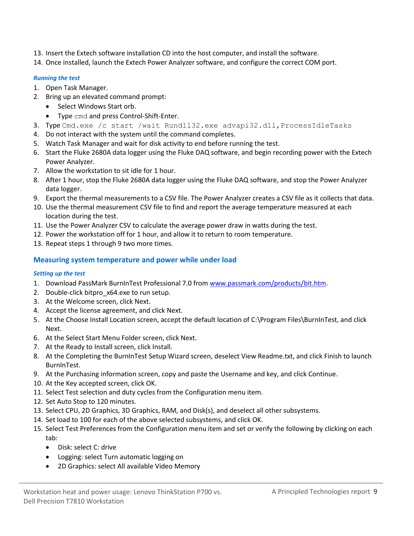- 13. Insert the Extech software installation CD into the host computer, and install the software.
- 14. Once installed, launch the Extech Power Analyzer software, and configure the correct COM port.

#### *Running the test*

- 1. Open Task Manager.
- 2. Bring up an elevated command prompt:
	- Select Windows Start orb.
	- Type cmd and press Control-Shift-Enter.
- 3. Type Cmd.exe /c start /wait Rundll32.exe advapi32.dll, ProcessIdleTasks
- 4. Do not interact with the system until the command completes.
- 5. Watch Task Manager and wait for disk activity to end before running the test.
- 6. Start the Fluke 2680A data logger using the Fluke DAQ software, and begin recording power with the Extech Power Analyzer.
- 7. Allow the workstation to sit idle for 1 hour.
- 8. After 1 hour, stop the Fluke 2680A data logger using the Fluke DAQ software, and stop the Power Analyzer data logger.
- 9. Export the thermal measurements to a CSV file. The Power Analyzer creates a CSV file as it collects that data.
- 10. Use the thermal measurement CSV file to find and report the average temperature measured at each location during the test.
- 11. Use the Power Analyzer CSV to calculate the average power draw in watts during the test.
- 12. Power the workstation off for 1 hour, and allow it to return to room temperature.
- 13. Repeat steps 1 through 9 two more times.

#### **Measuring system temperature and power while under load**

#### *Setting up the test*

- 1. Download PassMark BurnInTest Professional 7.0 from [www.passmark.com/products/bit.htm.](http://www.passmark.com/products/bit.htm)
- 2. Double-click bitpro x64.exe to run setup.
- 3. At the Welcome screen, click Next.
- 4. Accept the license agreement, and click Next.
- 5. At the Choose Install Location screen, accept the default location of C:\Program Files\BurnInTest, and click Next.
- 6. At the Select Start Menu Folder screen, click Next.
- 7. At the Ready to Install screen, click Install.
- 8. At the Completing the BurnInTest Setup Wizard screen, deselect View Readme.txt, and click Finish to launch BurnInTest.
- 9. At the Purchasing information screen, copy and paste the Username and key, and click Continue.
- 10. At the Key accepted screen, click OK.
- 11. Select Test selection and duty cycles from the Configuration menu item.
- 12. Set Auto Stop to 120 minutes.
- 13. Select CPU, 2D Graphics, 3D Graphics, RAM, and Disk(s), and deselect all other subsystems.
- 14. Set load to 100 for each of the above selected subsystems, and click OK.
- 15. Select Test Preferences from the Configuration menu item and set or verify the following by clicking on each tab:
	- Disk: select C: drive
	- Logging: select Turn automatic logging on
	- 2D Graphics: select All available Video Memory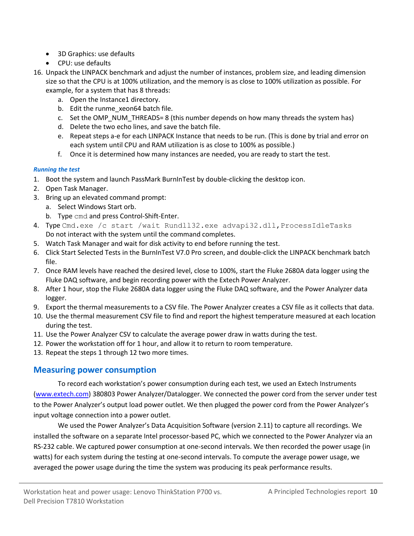- 3D Graphics: use defaults
- CPU: use defaults
- 16. Unpack the LINPACK benchmark and adjust the number of instances, problem size, and leading dimension size so that the CPU is at 100% utilization, and the memory is as close to 100% utilization as possible. For example, for a system that has 8 threads:
	- a. Open the Instance1 directory.
	- b. Edit the runme\_xeon64 batch file.
	- c. Set the OMP\_NUM\_THREADS= 8 (this number depends on how many threads the system has)
	- d. Delete the two echo lines, and save the batch file.
	- e. Repeat steps a-e for each LINPACK Instance that needs to be run. (This is done by trial and error on each system until CPU and RAM utilization is as close to 100% as possible.)
	- f. Once it is determined how many instances are needed, you are ready to start the test.

#### *Running the test*

- 1. Boot the system and launch PassMark BurnInTest by double-clicking the desktop icon.
- 2. Open Task Manager.
- 3. Bring up an elevated command prompt:
	- a. Select Windows Start orb.
	- b. Type cmd and press Control-Shift-Enter.
- 4. Type Cmd.exe /c start /wait Rundll32.exe advapi32.dll, ProcessIdleTasks Do not interact with the system until the command completes.
- 5. Watch Task Manager and wait for disk activity to end before running the test.
- 6. Click Start Selected Tests in the BurnInTest V7.0 Pro screen, and double-click the LINPACK benchmark batch file.
- 7. Once RAM levels have reached the desired level, close to 100%, start the Fluke 2680A data logger using the Fluke DAQ software, and begin recording power with the Extech Power Analyzer.
- 8. After 1 hour, stop the Fluke 2680A data logger using the Fluke DAQ software, and the Power Analyzer data logger.
- 9. Export the thermal measurements to a CSV file. The Power Analyzer creates a CSV file as it collects that data.
- 10. Use the thermal measurement CSV file to find and report the highest temperature measured at each location during the test.
- 11. Use the Power Analyzer CSV to calculate the average power draw in watts during the test.
- 12. Power the workstation off for 1 hour, and allow it to return to room temperature.
- 13. Repeat the steps 1 through 12 two more times.

### **Measuring power consumption**

To record each workstation's power consumption during each test, we used an Extech Instruments [\(www.extech.com\)](http://www.extech.com/) 380803 Power Analyzer/Datalogger. We connected the power cord from the server under test to the Power Analyzer's output load power outlet. We then plugged the power cord from the Power Analyzer's input voltage connection into a power outlet.

We used the Power Analyzer's Data Acquisition Software (version 2.11) to capture all recordings. We installed the software on a separate Intel processor-based PC, which we connected to the Power Analyzer via an RS-232 cable. We captured power consumption at one-second intervals. We then recorded the power usage (in watts) for each system during the testing at one-second intervals. To compute the average power usage, we averaged the power usage during the time the system was producing its peak performance results.